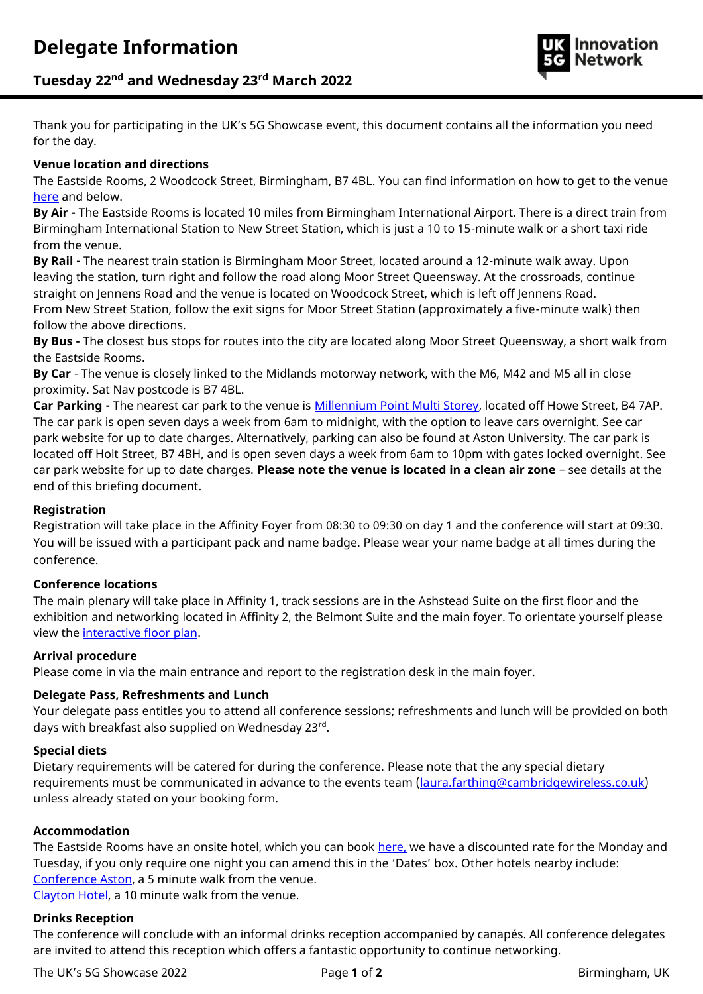

# **Tuesday 22nd and Wednesday 23rd March 2022**

Thank you for participating in the UK's 5G Showcase event, this document contains all the information you need for the day.

# **Venue location and directions**

The Eastside Rooms, 2 Woodcock Street, Birmingham, B7 4BL. You can find information on how to get to the venue [here](https://www.marriott.co.uk/hotels/maps/travel/bhxal-aloft-birmingham-eastside/) and below.

**By Air -** The Eastside Rooms is located 10 miles from Birmingham International Airport. There is a direct train from Birmingham International Station to New Street Station, which is just a 10 to 15-minute walk or a short taxi ride from the venue.

**By Rail -** The nearest train station is Birmingham Moor Street, located around a 12-minute walk away. Upon leaving the station, turn right and follow the road along Moor Street Queensway. At the crossroads, continue straight on Jennens Road and the venue is located on Woodcock Street, which is left off Jennens Road. From New Street Station, follow the exit signs for Moor Street Station (approximately a five-minute walk) then follow the above directions.

**By Bus -** The closest bus stops for routes into the city are located along Moor Street Queensway, a short walk from the Eastside Rooms.

**By Car** - The venue is closely linked to the Midlands motorway network, with the M6, M42 and M5 all in close proximity. Sat Nav postcode is B7 4BL.

**Car Parking -** The nearest car park to the venue is [Millennium Point Multi Storey,](https://www.birmingham.gov.uk/directory_record/6674/millennium_point_multi-storey_car_park) located off Howe Street, B4 7AP. The car park is open seven days a week from 6am to midnight, with the option to leave cars overnight. See car park website for up to date charges. Alternatively, parking can also be found at Aston University. The car park is located off Holt Street, B7 4BH, and is open seven days a week from 6am to 10pm with gates locked overnight. See car park website for up to date charges. **Please note the venue is located in a clean air zone** – see details at the end of this briefing document.

# **Registration**

Registration will take place in the Affinity Foyer from 08:30 to 09:30 on day 1 and the conference will start at 09:30. You will be issued with a participant pack and name badge. Please wear your name badge at all times during the conference.

# **Conference locations**

The main plenary will take place in Affinity 1, track sessions are in the Ashstead Suite on the first floor and the exhibition and networking located in Affinity 2, the Belmont Suite and the main foyer. To orientate yourself please view the [interactive floor plan.](https://eastsiderooms.com/event-spaces/interactive-floor-plans/)

# **Arrival procedure**

Please come in via the main entrance and report to the registration desk in the main foyer.

# **Delegate Pass, Refreshments and Lunch**

Your delegate pass entitles you to attend all conference sessions; refreshments and lunch will be provided on both days with breakfast also supplied on Wednesday 23rd .

#### **Special diets**

Dietary requirements will be catered for during the conference. Please note that the any special dietary requirements must be communicated in advance to the events team [\(laura.farthing@cambridgewireless.co.uk\)](mailto:laura.farthing@cambridgewireless.co.uk) unless already stated on your booking form.

#### **Accommodation**

The Eastside Rooms have an onsite hotel, which you can book [here,](https://www.marriott.co.uk/event-reservations/reservation-link.mi?id=1641891403213&key=GRP&app=resvlink) we have a discounted rate for the Monday and Tuesday, if you only require one night you can amend this in the 'Dates' box. Other hotels nearby include: [Conference Aston,](http://www.conferenceaston.co.uk/book-hotel-room/) a 5 minute walk from the venue.

[Clayton Hotel,](https://www.claytonhotelbirmingham.com/) a 10 minute walk from the venue.

# **Drinks Reception**

The conference will conclude with an informal drinks reception accompanied by canapés. All conference delegates are invited to attend this reception which offers a fantastic opportunity to continue networking.